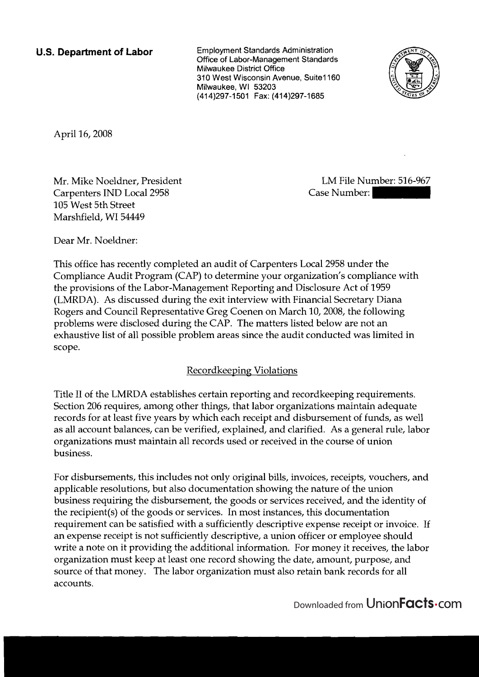**U.S. Department of Labor Employment Standards Administration Office of Labor-Management Standards Milwaukee District Office 310 West Wisconsin Avenue, Suite1 160 Milwaukee, WI 53203 (41 4)297- 1 50 1 Fax: (4 1 4)297-1685** 



April 16,2008

Mr. Mike Noeldner, President Carpenters IND Local 2958 105 West 5th Street Marshfield, WI 54449

LM File Number: 516-967

Dear Mr. Noeldner:

This office has recently completed an audit of Carpenters Local 2958 under the Compliance Audit Program (CAP) to determine your organization's compliance with the provisions of the Labor-Management Reporting and Disclosure Act of 1959 (LMRDA). As discussed during the exit interview with Financial Secretary Diana Rogers and Council Representative Greg Coenen on March 10,2008, the following problems were disclosed during the CAP. The matters listed below are not an exhaustive list of all possible problem areas since the audit conducted was limited in scope.

# Recordkeeping Violations

Title I1 of the LMRDA establishes certain reporting and recordkeeping requirements. Section 206 requires, among other things, that labor organizations maintain adequate records for at least five years by which each receipt and disbursement of funds, as well as all account balances, can be verified, explained, and clarified. As a general rule, labor organizations must maintain all records used or received in the course of union business.

For disbursements, this includes not only original bills, invoices, receipts, vouchers, and applicable resolutions, but also documentation showing the nature of the union business requiring the disbursement, the goods or services received, and the identity of the recipient(s) of the goods or services. In most instances, this documentation requirement can be satisfied with a sufficiently descriptive expense receipt or invoice. If an expense receipt is not sufficiently descriptive, a union officer or employee should write a note on it providing the additional information. For money it receives, the labor organization must keep at least one record showing the date, amount, purpose, and source of that money. The labor organization must also retain bank records for all accounts.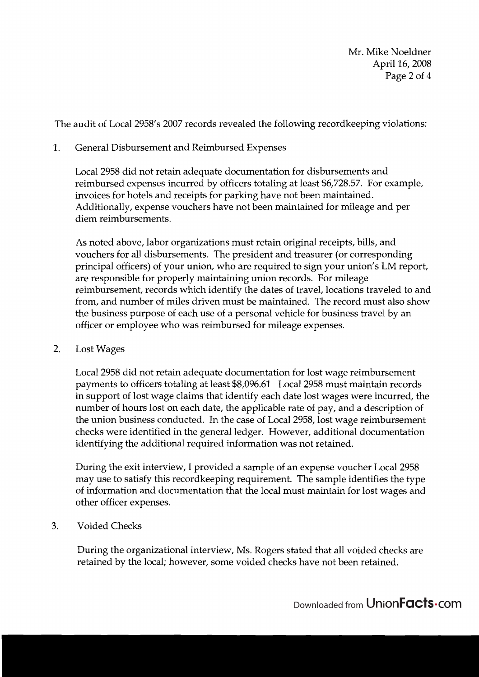Mr. Mike Noeldner April 16,2008 Page 2 of 4

The audit of Local 2958's 2007 records revealed the following recordkeeping violations:

### 1. General Disbursement and Reimbursed Expenses

Local 2958 did not retain adequate documentation for disbursements and reimbursed expenses incurred by officers totaling at least \$6,728.57. For example, invoices for hotels and receipts for parking have not been maintained. Additionally, expense vouchers have not been maintained for mileage and per diem reimbursements.

As noted above, labor organizations must retain original receipts, bills, and vouchers for all disbursements. The president and treasurer (or corresponding principal officers) of your union, who are required to sign your union's LM report, are responsible for properly maintaining union records. For mileage reimbursement, records which identify the dates of travel, locations traveled to and from, and number of miles driven must be maintained. The record must also show the business purpose of each use of a personal vehicle for business travel by an officer or employee who was reimbursed for mileage expenses.

2. Lost Wages

Local 2958 did not retain adequate documentation for lost wage reimbursement payments to officers totaling at least \$8,096.61 Local 2958 must maintain records in support of lost wage claims that identify each date lost wages were incurred, the number of hours lost on each date, the applicable rate of pay, and a description of the union business conducted. In the case of Local 2958, lost wage reimbursement checks were identified in the general ledger. However, additional documentation identifying the additional required information was not retained.

During the exit interview, I provided a sample of an expense voucher Local 2958 may use to satisfy this recordkeeping requirement. The sample identifies the type of information and documentation that the local must maintain for lost wages and other officer expenses.

**3.** Voided Checks

During the organizational interview, Ms. Rogers stated that all voided checks are retained by the local; however, some voided checks have not been retained.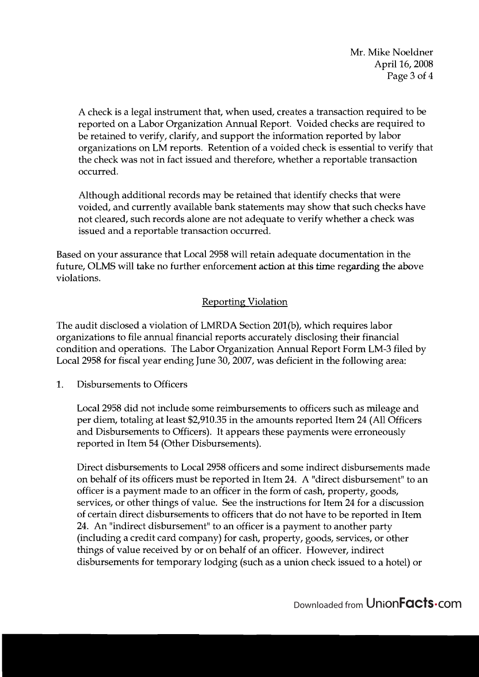Mr. Mike Noeldner April 16,2008 Page 3 of 4

A check is a legal instrument that, when used, creates a transaction required to be reported on a Labor Organization Annual Report. Voided checks are required to be retained to verify, clarify, and support the information reported by labor organizations on LM reports. Retention of a voided check is essential to verify that the check was not in fact issued and therefore, whether a reportable transaction occurred.

Although additional records may be retained that identify checks that were voided, and currently available bank statements may show that such checks have not cleared, such records alone are not adequate to verify whether a check was issued and a reportable transaction occurred.

Based on your assurance that Local 2958 will retain adequate documentation in the future, OLMS will take no further enforcement action at *his* time regarding the above violations.

# Reporting Violation

The audit disclosed a violation of LNIRDA Section 201(b), which requires labor organizations to file annual financial reports accurately disclosing their financial condition and operations. The Labor Organization Annual Report Form LM-3 filed by Local 2958 for fiscal year ending June 30,2007, was deficient in the following area:

1. Disbursements to Officers

Local 2958 did not include some reimbursements to officers such as mileage and per diem, totaling at least \$2,910.35 in the amounts reported Item 24 (All Officers and Disbursements to Officers). It appears these payments were erroneously reported in Item 54 (Other Disbursements).

Direct disbursements to Local 2958 officers and some indirect disbursements made on behalf of its officers must be reported in Item 24. A "direct disbursement" to an officer is a payment made to an officer in the form of cash, property, goods, services, or other things of value. See the instructions for Item 24 for a discussion of certain direct disbursements to officers that do not have to be reported in Item 24. An "indirect disbursement" to an officer is a payment to another party (including a credit card company) for cash, property, goods, services, or other things of value received by or on behalf of an officer. However, indirect disbursements for temporary lodging (such as a union check issued to a hotel) or